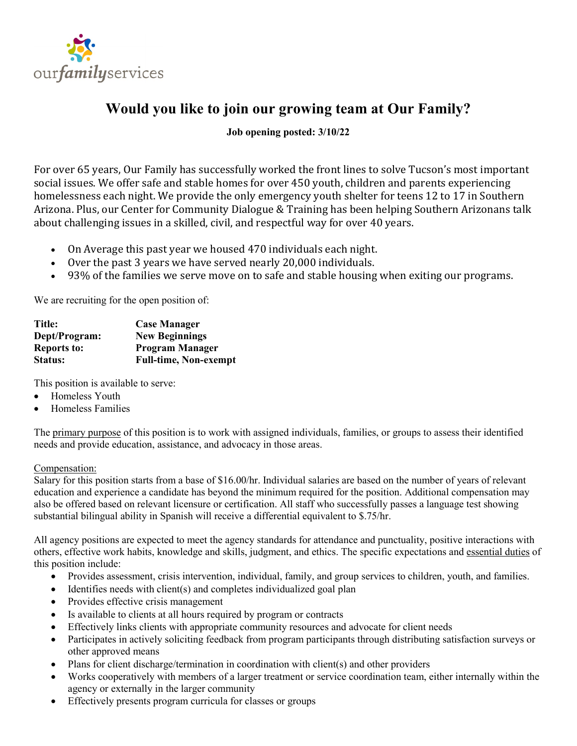

## **Would you like to join our growing team at Our Family?**

## **Job opening posted: 3/10/22**

For over 65 years, Our Family has successfully worked the front lines to solve Tucson's most important social issues. We offer safe and stable homes for over 450 youth, children and parents experiencing homelessness each night. We provide the only emergency youth shelter for teens 12 to 17 in Southern Arizona. Plus, our Center for Community Dialogue & Training has been helping Southern Arizonans talk about challenging issues in a skilled, civil, and respectful way for over 40 years.

- On Average this past year we housed 470 individuals each night.
- Over the past 3 years we have served nearly 20,000 individuals.
- 93% of the families we serve move on to safe and stable housing when exiting our programs.

We are recruiting for the open position of:

| Title:             | <b>Case Manager</b>          |
|--------------------|------------------------------|
| Dept/Program:      | <b>New Beginnings</b>        |
| <b>Reports to:</b> | <b>Program Manager</b>       |
| <b>Status:</b>     | <b>Full-time, Non-exempt</b> |

This position is available to serve:

- Homeless Youth
- Homeless Families

The primary purpose of this position is to work with assigned individuals, families, or groups to assess their identified needs and provide education, assistance, and advocacy in those areas.

Compensation:

Salary for this position starts from a base of \$16.00/hr. Individual salaries are based on the number of years of relevant education and experience a candidate has beyond the minimum required for the position. Additional compensation may also be offered based on relevant licensure or certification. All staff who successfully passes a language test showing substantial bilingual ability in Spanish will receive a differential equivalent to \$.75/hr.

All agency positions are expected to meet the agency standards for attendance and punctuality, positive interactions with others, effective work habits, knowledge and skills, judgment, and ethics. The specific expectations and essential duties of this position include:

- Provides assessment, crisis intervention, individual, family, and group services to children, youth, and families.
- Identifies needs with client(s) and completes individualized goal plan
- Provides effective crisis management
- Is available to clients at all hours required by program or contracts
- Effectively links clients with appropriate community resources and advocate for client needs
- Participates in actively soliciting feedback from program participants through distributing satisfaction surveys or other approved means
- Plans for client discharge/termination in coordination with client(s) and other providers
- Works cooperatively with members of a larger treatment or service coordination team, either internally within the agency or externally in the larger community
- Effectively presents program curricula for classes or groups